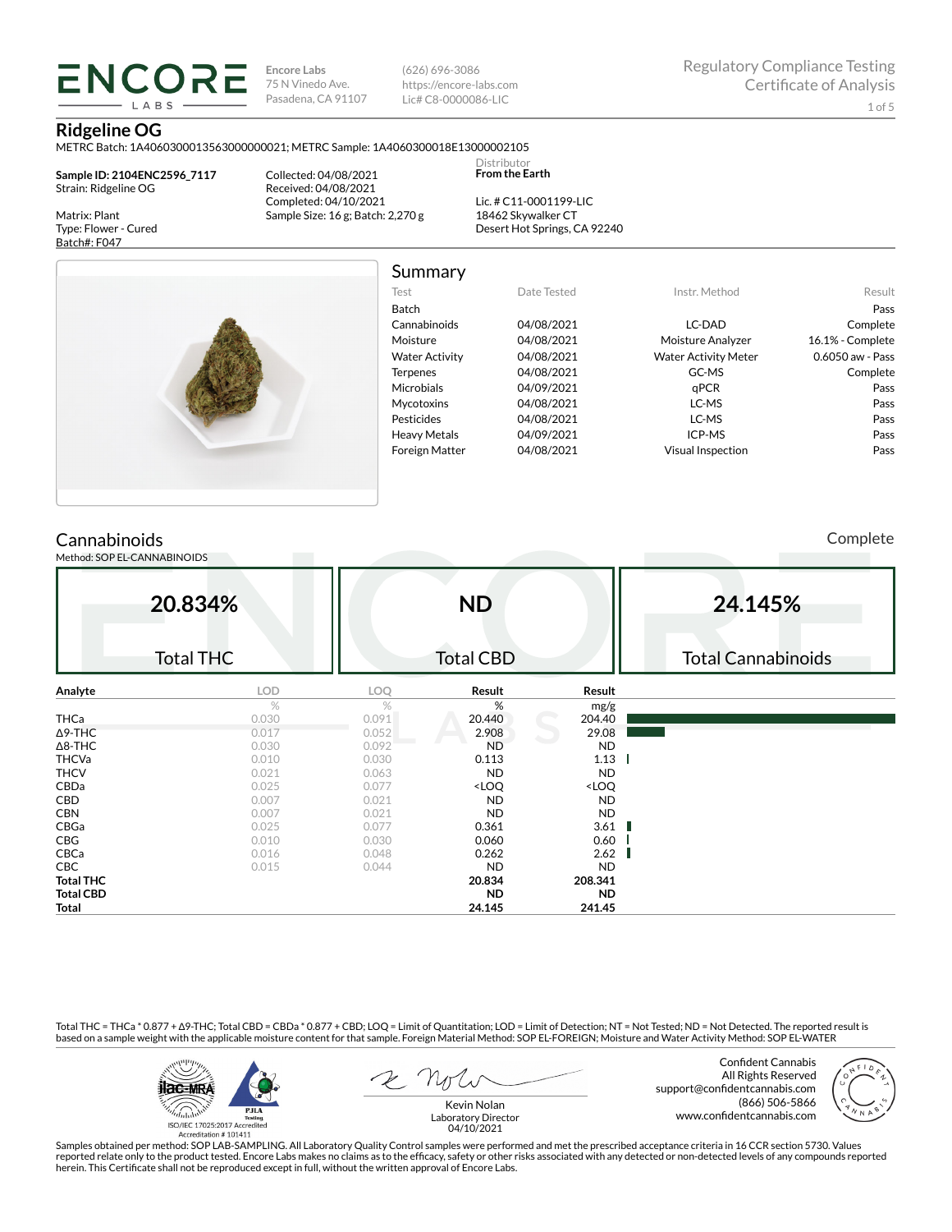**Encore Labs** 75 N Vinedo Ave. Pasadena, CA 91107 (626) 696-3086 https://encore-labs.com Lic# C8-0000086-LIC

Summary

Distributor **From the Earth**

#### **Ridgeline OG**

METRC Batch: 1A4060300013563000000021; METRC Sample: 1A4060300018E13000002105

**Sample ID: 2104ENC2596\_7117** Strain: Ridgeline OG

**ENCORE IARS** 

Matrix: Plant Type: Flower - Cured Batch#: F047

Collected: 04/08/2021 Received: 04/08/2021 Completed: 04/10/2021 Sample Size: 16 g; Batch: 2,270 g

Lic. # C11-0001199-LIC 18462 Skywalker CT Desert Hot Springs, CA 92240



| Test                  | Date Tested | Instr. Method               | Result           |
|-----------------------|-------------|-----------------------------|------------------|
| <b>Batch</b>          |             |                             | Pass             |
| Cannabinoids          | 04/08/2021  | LC-DAD                      | Complete         |
| Moisture              | 04/08/2021  | Moisture Analyzer           | 16.1% - Complete |
| <b>Water Activity</b> | 04/08/2021  | <b>Water Activity Meter</b> | 0.6050 aw - Pass |
| <b>Terpenes</b>       | 04/08/2021  | GC-MS                       | Complete         |
| Microbials            | 04/09/2021  | aPCR                        | Pass             |
| Mycotoxins            | 04/08/2021  | LC-MS                       | Pass             |
| Pesticides            | 04/08/2021  | LC-MS                       | Pass             |
| <b>Heavy Metals</b>   | 04/09/2021  | ICP-MS                      | Pass             |
| <b>Foreign Matter</b> | 04/08/2021  | <b>Visual Inspection</b>    | Pass             |

### **Cannabinoids**

Method: SOP EL-CANNABINOIDS

Complete

|                  | 20.834%          |            | <b>ND</b>                                                |                              | 24.145%                   |
|------------------|------------------|------------|----------------------------------------------------------|------------------------------|---------------------------|
|                  | <b>Total THC</b> |            | <b>Total CBD</b>                                         |                              | <b>Total Cannabinoids</b> |
| Analyte          | LOD              | <b>LOQ</b> | Result                                                   | Result                       |                           |
|                  | $\%$             | %          | %                                                        | mg/g                         |                           |
| <b>THCa</b>      | 0.030            | 0.091      | 20.440                                                   | 204.40                       |                           |
| $\Delta$ 9-THC   | 0.017            | 0.052      | 2.908                                                    | 29.08                        |                           |
| $\Delta$ 8-THC   | 0.030            | 0.092      | <b>ND</b>                                                | ND                           |                           |
| <b>THCVa</b>     | 0.010            | 0.030      | 0.113                                                    | 1.13                         |                           |
| <b>THCV</b>      | 0.021            | 0.063      | ND                                                       | ND                           |                           |
| CBDa             | 0.025            | 0.077      | <loq< td=""><td><loq< td=""><td></td></loq<></td></loq<> | <loq< td=""><td></td></loq<> |                           |
| CBD              | 0.007            | 0.021      | ND                                                       | ND                           |                           |
| <b>CBN</b>       | 0.007            | 0.021      | ND                                                       | ND                           |                           |
| CBGa             | 0.025            | 0.077      | 0.361                                                    | 3.61                         |                           |
| CBG              | 0.010            | 0.030      | 0.060                                                    | 0.60                         |                           |
| CBCa             | 0.016            | 0.048      | 0.262                                                    | 2.62                         |                           |
| <b>CBC</b>       | 0.015            | 0.044      | <b>ND</b>                                                | <b>ND</b>                    |                           |
| <b>Total THC</b> |                  |            | 20.834                                                   | 208.341                      |                           |
| <b>Total CBD</b> |                  |            | <b>ND</b>                                                | <b>ND</b>                    |                           |
| Total            |                  |            | 24.145                                                   | 241.45                       |                           |

Total THC = THCa \* 0.877 + ∆9-THC; Total CBD = CBDa \* 0.877 + CBD; LOQ = Limit of Quantitation; LOD = Limit of Detection; NT = Not Tested; ND = Not Detected. The reported result is based on a sample weight with the applicable moisture content for that sample. Foreign Material Method: SOP EL-FOREIGN; Moisture and Water Activity Method: SOP EL-WATER



Confident Cannabis All Rights Reserved support@confidentcannabis.com (866) 506-5866 www.confidentcannabis.com



Kevin Nolan Laboratory Director 04/10/2021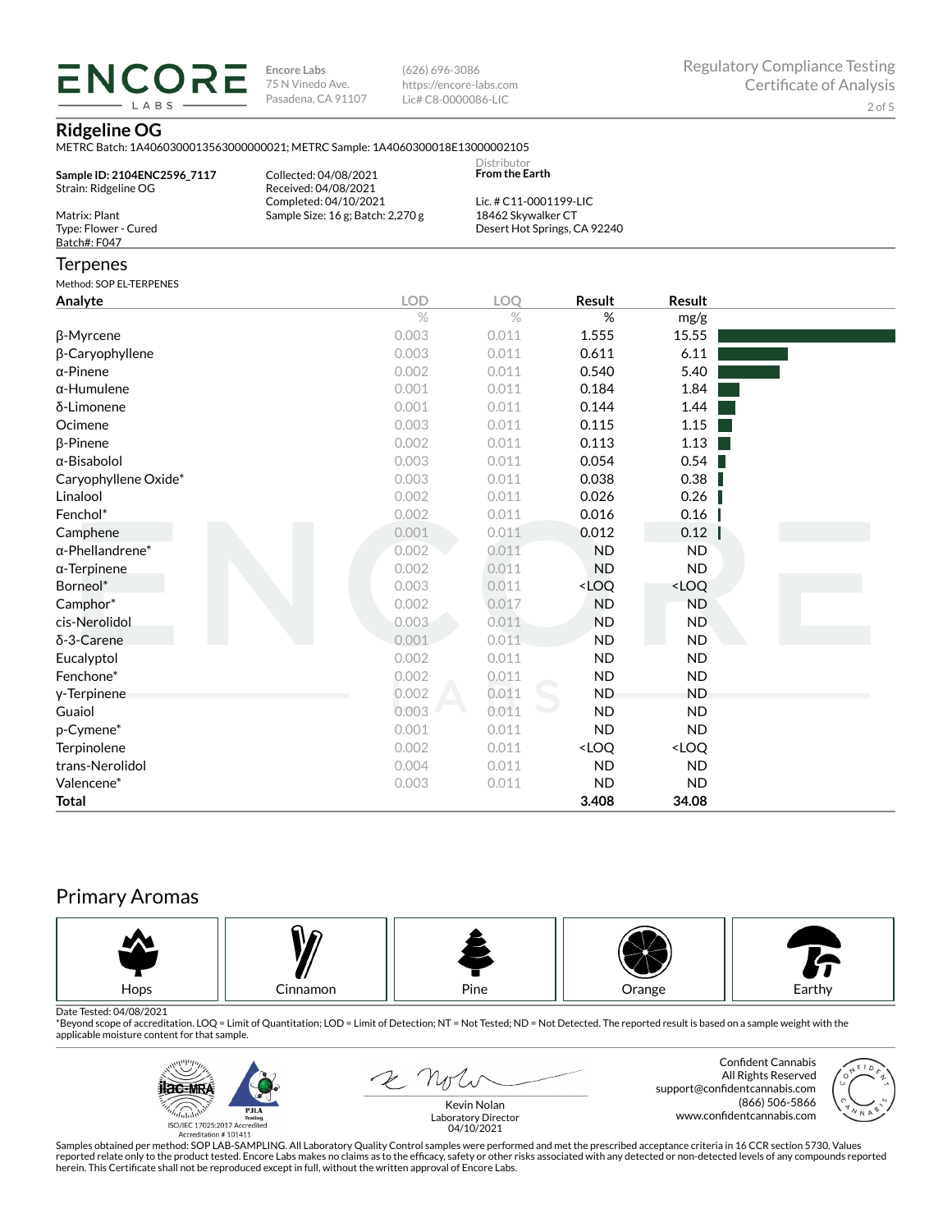**ENCORE Encore Labs** 75 N Vinedo Ave. Pasadena, CA 91107

(626) 696-3086 https://encore-labs.com Lic# C8-0000086-LIC

### **Ridgeline OG**

**IARS** 

| Sample ID: 2104ENC2596 7117<br>Strain: Ridgeline OG   | Collected: 04/08/2021<br>Received: 04/08/2021<br>Completed: 04/10/2021 | Distributor<br><b>From the Earth</b><br>Lic. # C11-0001199-LIC |                                                          |                              |  |
|-------------------------------------------------------|------------------------------------------------------------------------|----------------------------------------------------------------|----------------------------------------------------------|------------------------------|--|
| Matrix: Plant<br>Type: Flower - Cured<br>Batch#: F047 | Sample Size: 16 g; Batch: 2,270 g                                      | 18462 Skywalker CT                                             | Desert Hot Springs, CA 92240                             |                              |  |
| Terpenes                                              |                                                                        |                                                                |                                                          |                              |  |
| Method: SOP EL-TERPENES                               |                                                                        |                                                                |                                                          |                              |  |
| Analyte                                               | <b>LOD</b>                                                             | <b>LOO</b>                                                     | Result                                                   | Result                       |  |
|                                                       | $\%$                                                                   | $\frac{0}{0}$                                                  | %                                                        | mg/g                         |  |
| β-Myrcene                                             | 0.003                                                                  | 0.011                                                          | 1.555                                                    | 15.55                        |  |
| β-Caryophyllene                                       | 0.003                                                                  | 0.011                                                          | 0.611                                                    | 6.11                         |  |
| α-Pinene                                              | 0.002                                                                  | 0.011                                                          | 0.540                                                    | 5.40                         |  |
| α-Humulene                                            | 0.001                                                                  | 0.011                                                          | 0.184                                                    | 1.84                         |  |
| δ-Limonene                                            | 0.001                                                                  | 0.011                                                          | 0.144                                                    | 1.44                         |  |
| Ocimene                                               | 0.003                                                                  | 0.011                                                          | 0.115                                                    | 1.15                         |  |
| β-Pinene                                              | 0.002                                                                  | 0.011                                                          | 0.113                                                    | 1.13                         |  |
| α-Bisabolol                                           | 0.003                                                                  | 0.011                                                          | 0.054                                                    | 0.54                         |  |
| Caryophyllene Oxide*                                  | 0.003                                                                  | 0.011                                                          | 0.038                                                    | 0.38                         |  |
| Linalool                                              | 0.002                                                                  | 0.011                                                          | 0.026                                                    | 0.26                         |  |
| Fenchol*                                              | 0.002                                                                  | 0.011                                                          | 0.016                                                    | 0.16                         |  |
| Camphene                                              | 0.001                                                                  | 0.011                                                          | 0.012                                                    | 0.12                         |  |
| α-Phellandrene <sup>*</sup>                           | 0.002                                                                  | 0.011                                                          | <b>ND</b>                                                | <b>ND</b>                    |  |
| α-Terpinene                                           | 0.002                                                                  | 0.011                                                          | <b>ND</b>                                                | <b>ND</b>                    |  |
| Borneol*                                              | 0.003                                                                  | 0.011                                                          | <loq< td=""><td><loq< td=""><td></td></loq<></td></loq<> | <loq< td=""><td></td></loq<> |  |
| Camphor*                                              | 0.002                                                                  | 0.017                                                          | <b>ND</b>                                                | <b>ND</b>                    |  |
| cis-Nerolidol                                         | 0.003                                                                  | 0.011                                                          | <b>ND</b>                                                | <b>ND</b>                    |  |
| δ-3-Carene                                            | 0.001                                                                  | 0.011                                                          | <b>ND</b>                                                | <b>ND</b>                    |  |
| Eucalyptol                                            | 0.002                                                                  | 0.011                                                          | <b>ND</b>                                                | <b>ND</b>                    |  |
| Fenchone*                                             | 0.002                                                                  | 0.011                                                          | <b>ND</b>                                                | <b>ND</b>                    |  |
| y-Terpinene                                           | 0.002                                                                  | 0.011                                                          | <b>ND</b>                                                | <b>ND</b>                    |  |
| Guaiol                                                | 0.003                                                                  | 0.011                                                          | <b>ND</b>                                                | <b>ND</b>                    |  |
| p-Cymene*                                             | 0.001                                                                  | 0.011                                                          | <b>ND</b>                                                | <b>ND</b>                    |  |
| Terpinolene                                           | 0.002                                                                  | 0.011                                                          | <loq< td=""><td><loq< td=""><td></td></loq<></td></loq<> | <loq< td=""><td></td></loq<> |  |
| trans-Nerolidol                                       | 0.004                                                                  | 0.011                                                          | <b>ND</b>                                                | <b>ND</b>                    |  |
| Valencene*                                            | 0.003                                                                  | 0.011                                                          | <b>ND</b>                                                | <b>ND</b>                    |  |
| <b>Total</b>                                          |                                                                        |                                                                | 3.408                                                    | 34.08                        |  |

# Primary Aromas



Date Tested: 04/08/2021<br>\*Beyond scope of accreditation. LOQ = Limit of Quantitation; LOD = Limit of Detection; NT = Not Tested; ND = Not Detected. The reported result is based on a sample weight with the applicable moisture content for that sample.



2 Note

Confident Cannabis All Rights Reserved support@confidentcannabis.com (866) 506-5866 www.confidentcannabis.com



Kevin Nolan Laboratory Director 04/10/2021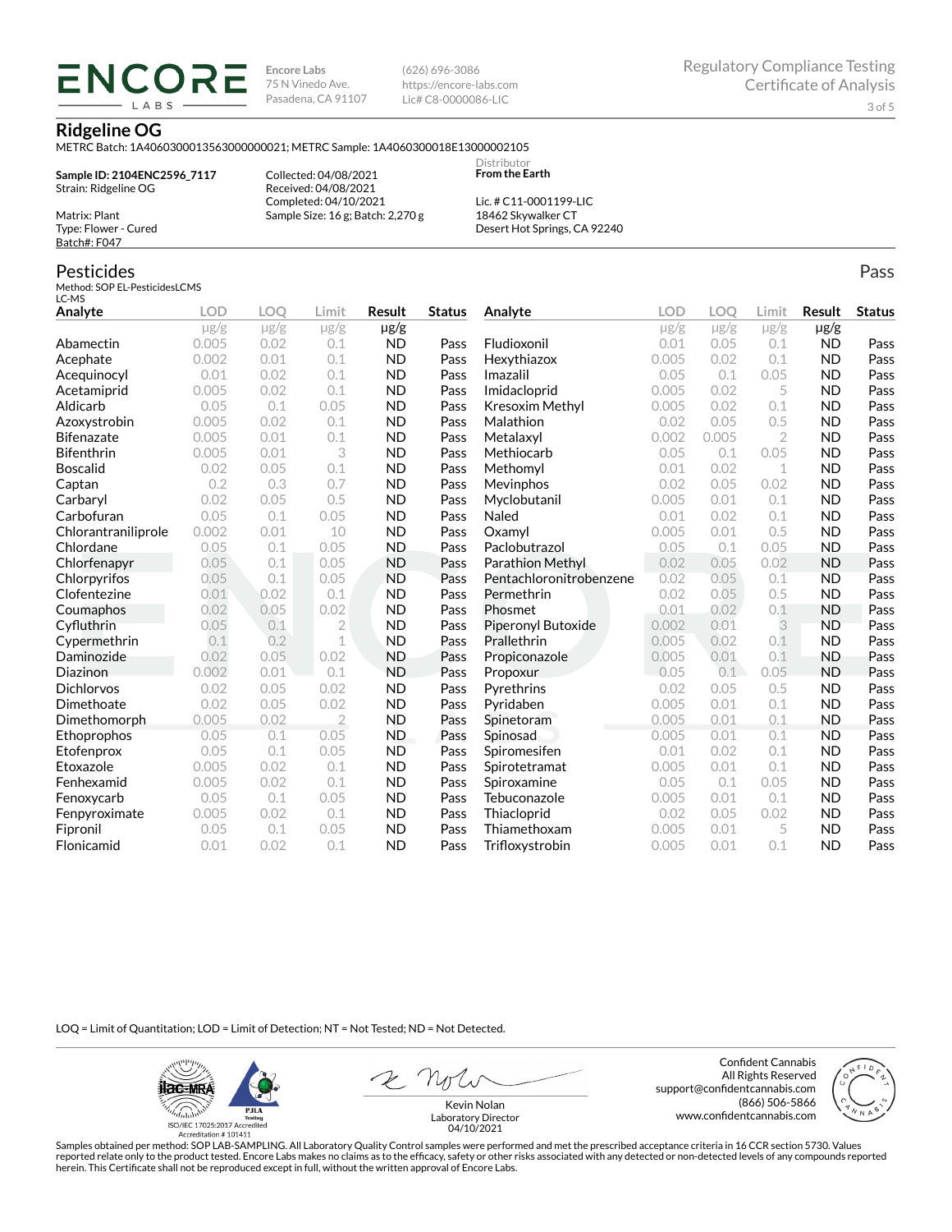**Encore Labs** 75 N Vinedo Ave. Pasadena, CA 91107 (626) 696-3086 https://encore-labs.com Lic# C8-0000086-LIC

#### **Ridgeline OG**

METRC Batch: 1A4060300013563000000021; METRC Sample: 1A4060300018E13000002105

**Sample ID: 2104ENC2596\_7117** Strain: Ridgeline OG

**ENCORE** LABS

> Collected: 04/08/2021 Received: 04/08/2021 Completed: 04/10/2021 Sample Size: 16 g; Batch: 2,270 g

Lic. # C11-0001199-LIC 18462 Skywalker CT Desert Hot Springs, CA 92240

Distributor **From the Earth**

## Type: Flower - Cured Batch#: F047

Matrix: Plant

Pesticides Method: SOP EL-PesticidesLCMS LC-MS

| Analyte             | <b>LOD</b> | LOO       | Limit          | Result    | <b>Status</b> | Analyte                 | <b>LOD</b> | LOO       | Limit          | <b>Result</b> | <b>Status</b> |
|---------------------|------------|-----------|----------------|-----------|---------------|-------------------------|------------|-----------|----------------|---------------|---------------|
|                     | $\mu$ g/g  | $\mu$ g/g | $\mu$ g/g      | $\mu$ g/g |               |                         | $\mu$ g/g  | $\mu$ g/g | $\mu$ g/g      | $\mu$ g/g     |               |
| Abamectin           | 0.005      | 0.02      | 0.1            | <b>ND</b> | Pass          | Fludioxonil             | 0.01       | 0.05      | 0.1            | <b>ND</b>     | Pass          |
| Acephate            | 0.002      | 0.01      | 0.1            | <b>ND</b> | Pass          | Hexythiazox             | 0.005      | 0.02      | 0.1            | <b>ND</b>     | Pass          |
| Acequinocyl         | 0.01       | 0.02      | 0.1            | <b>ND</b> | Pass          | Imazalil                | 0.05       | 0.1       | 0.05           | <b>ND</b>     | Pass          |
| Acetamiprid         | 0.005      | 0.02      | 0.1            | <b>ND</b> | Pass          | Imidacloprid            | 0.005      | 0.02      | 5              | <b>ND</b>     | Pass          |
| Aldicarb            | 0.05       | 0.1       | 0.05           | <b>ND</b> | Pass          | Kresoxim Methyl         | 0.005      | 0.02      | 0.1            | <b>ND</b>     | Pass          |
| Azoxystrobin        | 0.005      | 0.02      | 0.1            | <b>ND</b> | Pass          | Malathion               | 0.02       | 0.05      | 0.5            | <b>ND</b>     | Pass          |
| <b>Bifenazate</b>   | 0.005      | 0.01      | 0.1            | <b>ND</b> | Pass          | Metalaxyl               | 0.002      | 0.005     | $\overline{2}$ | <b>ND</b>     | Pass          |
| <b>Bifenthrin</b>   | 0.005      | 0.01      | 3              | <b>ND</b> | Pass          | Methiocarb              | 0.05       | 0.1       | 0.05           | <b>ND</b>     | Pass          |
| <b>Boscalid</b>     | 0.02       | 0.05      | 0.1            | <b>ND</b> | Pass          | Methomyl                | 0.01       | 0.02      | 1              | <b>ND</b>     | Pass          |
| Captan              | 0.2        | 0.3       | 0.7            | <b>ND</b> | Pass          | Mevinphos               | 0.02       | 0.05      | 0.02           | <b>ND</b>     | Pass          |
| Carbaryl            | 0.02       | 0.05      | 0.5            | <b>ND</b> | Pass          | Myclobutanil            | 0.005      | 0.01      | 0.1            | <b>ND</b>     | Pass          |
| Carbofuran          | 0.05       | 0.1       | 0.05           | <b>ND</b> | Pass          | Naled                   | 0.01       | 0.02      | 0.1            | <b>ND</b>     | Pass          |
| Chlorantraniliprole | 0.002      | 0.01      | 10             | <b>ND</b> | Pass          | Oxamyl                  | 0.005      | 0.01      | 0.5            | <b>ND</b>     | Pass          |
| Chlordane           | 0.05       | 0.1       | 0.05           | <b>ND</b> | Pass          | Paclobutrazol           | 0.05       | 0.1       | 0.05           | <b>ND</b>     | Pass          |
| Chlorfenapyr        | 0.05       | 0.1       | 0.05           | <b>ND</b> | Pass          | Parathion Methyl        | 0.02       | 0.05      | 0.02           | <b>ND</b>     | Pass          |
| Chlorpyrifos        | 0.05       | 0.1       | 0.05           | <b>ND</b> | Pass          | Pentachloronitrobenzene | 0.02       | 0.05      | 0.1            | <b>ND</b>     | Pass          |
| Clofentezine        | 0.01       | 0.02      | 0.1            | <b>ND</b> | Pass          | Permethrin              | 0.02       | 0.05      | 0.5            | <b>ND</b>     | Pass          |
| Coumaphos           | 0.02       | 0.05      | 0.02           | <b>ND</b> | Pass          | Phosmet                 | 0.01       | 0.02      | 0.1            | <b>ND</b>     | Pass          |
| Cyfluthrin          | 0.05       | 0.1       | $\overline{2}$ | <b>ND</b> | Pass          | Piperonyl Butoxide      | 0.002      | 0.01      | 3              | <b>ND</b>     | Pass          |
| Cypermethrin        | 0.1        | 0.2       | 1              | <b>ND</b> | Pass          | Prallethrin             | 0.005      | 0.02      | 0.1            | <b>ND</b>     | Pass          |
| Daminozide          | 0.02       | 0.05      | 0.02           | <b>ND</b> | Pass          | Propiconazole           | 0.005      | 0.01      | 0.1            | <b>ND</b>     | Pass          |
| Diazinon            | 0.002      | 0.01      | 0.1            | <b>ND</b> | Pass          | Propoxur                | 0.05       | 0.1       | 0.05           | <b>ND</b>     | Pass          |
| <b>Dichlorvos</b>   | 0.02       | 0.05      | 0.02           | <b>ND</b> | Pass          | Pyrethrins              | 0.02       | 0.05      | 0.5            | <b>ND</b>     | Pass          |
| Dimethoate          | 0.02       | 0.05      | 0.02           | <b>ND</b> | Pass          | Pyridaben               | 0.005      | 0.01      | 0.1            | <b>ND</b>     | Pass          |
| Dimethomorph        | 0.005      | 0.02      | $\overline{2}$ | <b>ND</b> | Pass          | Spinetoram              | 0.005      | 0.01      | 0.1            | <b>ND</b>     | Pass          |
| Ethoprophos         | 0.05       | 0.1       | 0.05           | ND.       | Pass          | Spinosad                | 0.005      | 0.01      | 0.1            | <b>ND</b>     | Pass          |
| Etofenprox          | 0.05       | 0.1       | 0.05           | <b>ND</b> | Pass          | Spiromesifen            | 0.01       | 0.02      | 0.1            | <b>ND</b>     | Pass          |
| Etoxazole           | 0.005      | 0.02      | 0.1            | <b>ND</b> | Pass          | Spirotetramat           | 0.005      | 0.01      | 0.1            | <b>ND</b>     | Pass          |
| Fenhexamid          | 0.005      | 0.02      | 0.1            | <b>ND</b> | Pass          | Spiroxamine             | 0.05       | 0.1       | 0.05           | <b>ND</b>     | Pass          |
| Fenoxycarb          | 0.05       | 0.1       | 0.05           | <b>ND</b> | Pass          | Tebuconazole            | 0.005      | 0.01      | 0.1            | <b>ND</b>     | Pass          |
| Fenpyroximate       | 0.005      | 0.02      | 0.1            | <b>ND</b> | Pass          | Thiacloprid             | 0.02       | 0.05      | 0.02           | <b>ND</b>     | Pass          |
| Fipronil            | 0.05       | 0.1       | 0.05           | <b>ND</b> | Pass          | Thiamethoxam            | 0.005      | 0.01      | 5              | <b>ND</b>     | Pass          |
| Flonicamid          | 0.01       | 0.02      | 0.1            | <b>ND</b> | Pass          | Trifloxystrobin         | 0.005      | 0.01      | 0.1            | <b>ND</b>     | Pass          |

LOQ = Limit of Quantitation; LOD = Limit of Detection; NT = Not Tested; ND = Not Detected.

**ilac-MRA PJLA**  $d_{\rm thbb}$ ISO/IEC 17025:2017 Ac Accreditation #101411

Confident Cannabis All Rights Reserved support@confidentcannabis.com (866) 506-5866 www.confidentcannabis.com



Kevin Nolan Laboratory Director 04/10/2021

Samples obtained per method: SOP LAB-SAMPLING. All Laboratory Quality Control samples were performed and met the prescribed acceptance criteria in 16 CCR section 5730. Values reported relate only to the product tested. Encore Labs makes no claims as to the efficacy, safety or other risks associated with any detected or non-detected levels of any compounds reported<br>herein. This Certificate shall

Pass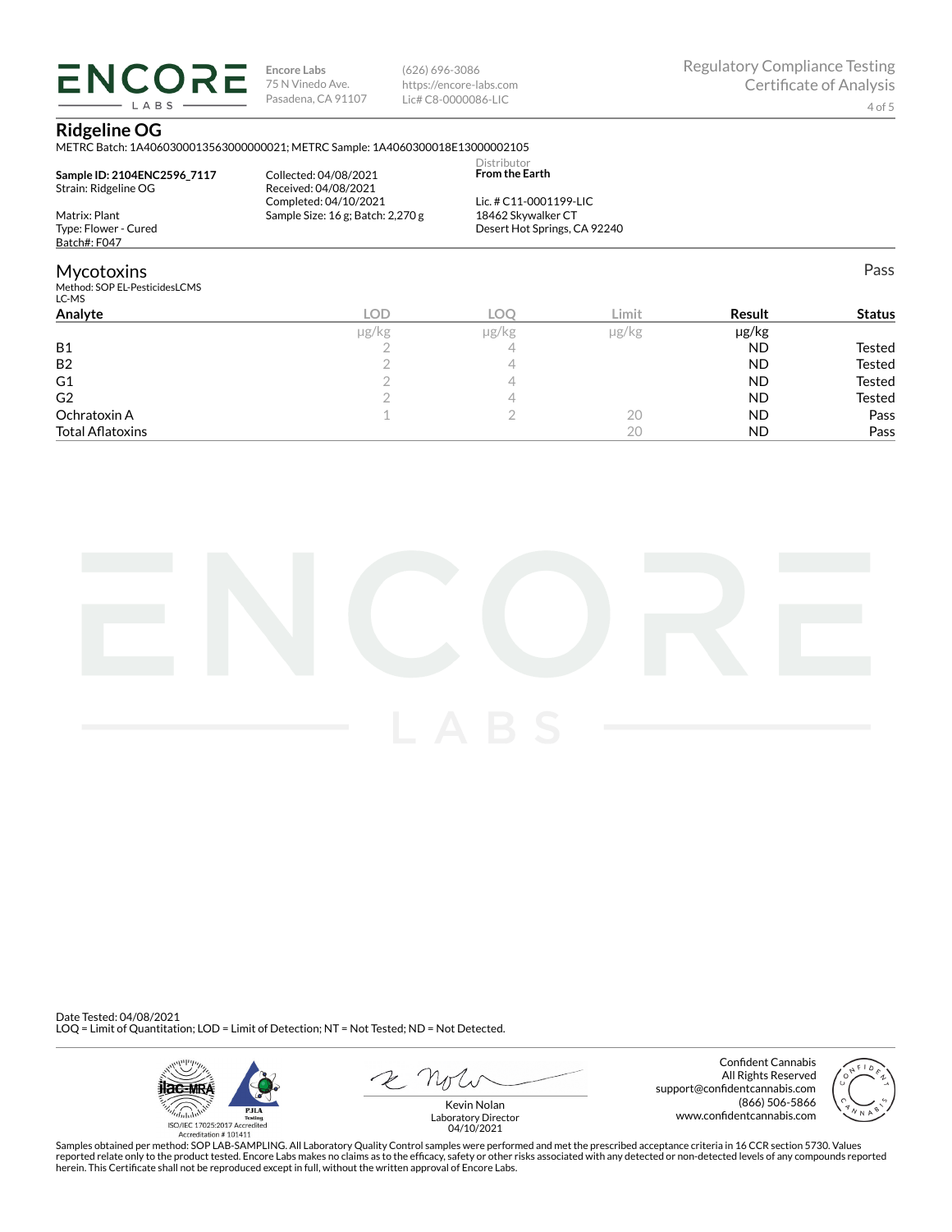**ENCORE Encore Labs** 75 N Vinedo Ave. Pasadena, CA 91107 LABS

(626) 696-3086 https://encore-labs.com Lic# C8-0000086-LIC

Pass

#### **Ridgeline OG**

METRC Batch: 1A4060300013563000000021; METRC Sample: 1A4060300018E13000002105

| Sample ID: 2104ENC2596 7117<br>Strain: Ridgeline OG | Collected: 04/08/2021<br>Received: 04/08/2021<br>Completed: 04/10/2021 | Distributor<br><b>From the Earth</b><br>Lic. # C11-0001199-LIC<br>18462 Skywalker CT<br>Desert Hot Springs, CA 92240 |       |  |
|-----------------------------------------------------|------------------------------------------------------------------------|----------------------------------------------------------------------------------------------------------------------|-------|--|
| Matrix: Plant                                       | Sample Size: 16 g; Batch: 2,270 g                                      |                                                                                                                      |       |  |
| Type: Flower - Cured                                |                                                                        |                                                                                                                      |       |  |
| Batch#: F047                                        |                                                                        |                                                                                                                      |       |  |
| <b>Mycotoxins</b>                                   |                                                                        |                                                                                                                      |       |  |
| Method: SOP EL-PesticidesLCMS<br>LC-MS              |                                                                        |                                                                                                                      |       |  |
| $A = -1$                                            | $\sqrt{2}$                                                             | $\sim$                                                                                                               | 1.334 |  |

| Analyte                 | <b>LOD</b> | <b>LOC</b> | Limit         | Result    | <b>Status</b> |
|-------------------------|------------|------------|---------------|-----------|---------------|
|                         | µg/kg      | µg/kg      | $\mu$ g/ $kg$ | µg/kg     |               |
| <b>B1</b>               |            |            |               | <b>ND</b> | Tested        |
| <b>B2</b>               |            |            |               | <b>ND</b> | Tested        |
| G <sub>1</sub>          |            |            |               | <b>ND</b> | Tested        |
| G <sub>2</sub>          |            |            |               | <b>ND</b> | Tested        |
| Ochratoxin A            |            |            | 20            | <b>ND</b> | Pass          |
| <b>Total Aflatoxins</b> |            |            | 20            | <b>ND</b> | Pass          |



Date Tested: 04/08/2021 LOQ = Limit of Quantitation; LOD = Limit of Detection; NT = Not Tested; ND = Not Detected.



 $2$   $n_{\text{U}}$ 

Confident Cannabis All Rights Reserved support@confidentcannabis.com (866) 506-5866 www.confidentcannabis.com



Kevin Nolan Laboratory Director 04/10/2021